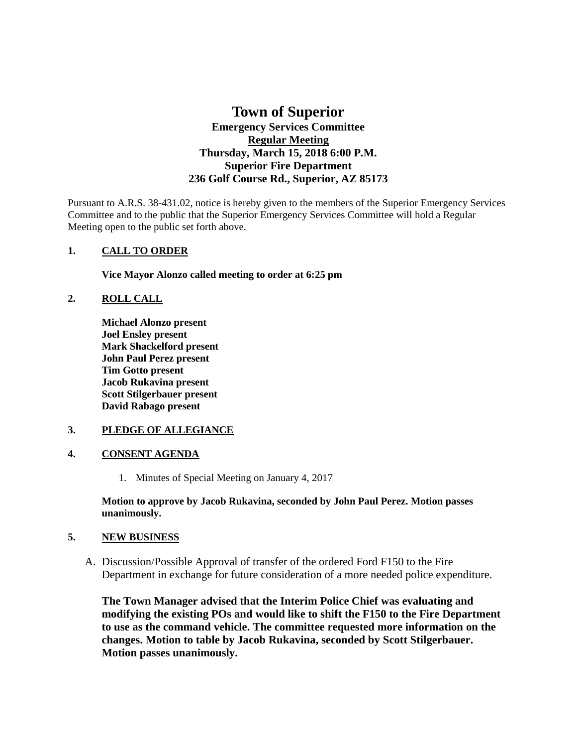# **Town of Superior Emergency Services Committee Regular Meeting Thursday, March 15, 2018 6:00 P.M. Superior Fire Department 236 Golf Course Rd., Superior, AZ 85173**

Pursuant to A.R.S. 38-431.02, notice is hereby given to the members of the Superior Emergency Services Committee and to the public that the Superior Emergency Services Committee will hold a Regular Meeting open to the public set forth above.

### **1. CALL TO ORDER**

**Vice Mayor Alonzo called meeting to order at 6:25 pm**

## **2. ROLL CALL**

**Michael Alonzo present Joel Ensley present Mark Shackelford present John Paul Perez present Tim Gotto present Jacob Rukavina present Scott Stilgerbauer present David Rabago present**

### **3. PLEDGE OF ALLEGIANCE**

### **4. CONSENT AGENDA**

1. Minutes of Special Meeting on January 4, 2017

**Motion to approve by Jacob Rukavina, seconded by John Paul Perez. Motion passes unanimously.** 

### **5. NEW BUSINESS**

A. Discussion/Possible Approval of transfer of the ordered Ford F150 to the Fire Department in exchange for future consideration of a more needed police expenditure.

**The Town Manager advised that the Interim Police Chief was evaluating and modifying the existing POs and would like to shift the F150 to the Fire Department to use as the command vehicle. The committee requested more information on the changes. Motion to table by Jacob Rukavina, seconded by Scott Stilgerbauer. Motion passes unanimously.**